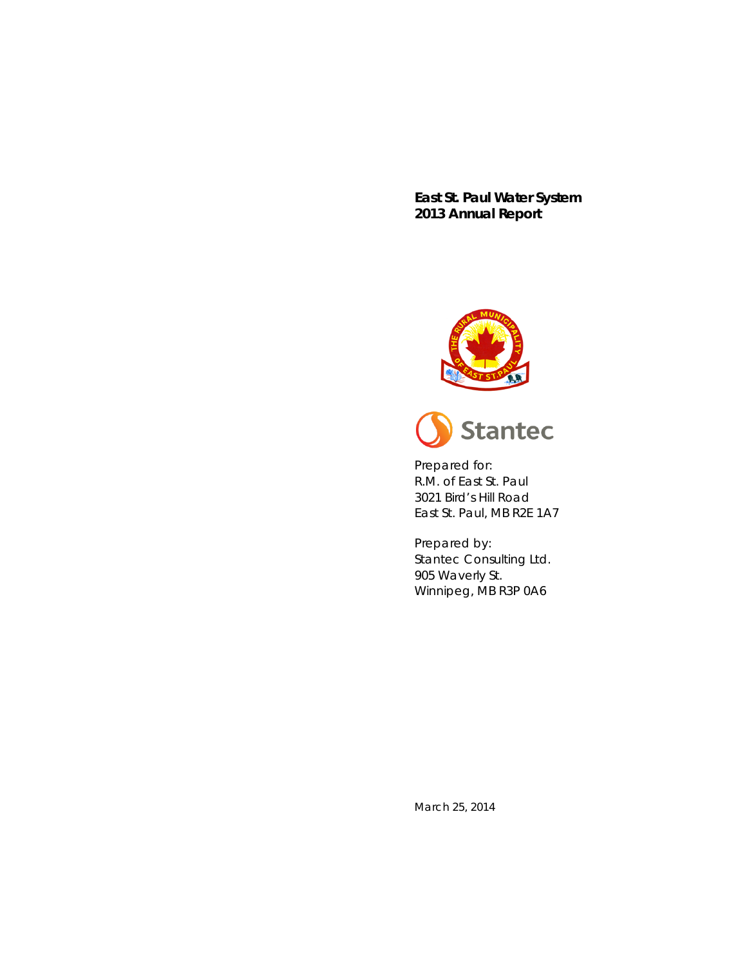**East St. Paul Water System 2013 Annual Report**





Prepared for: R.M. of East St. Paul 3021 Bird's Hill Road East St. Paul, MB R2E 1A7

Prepared by: Stantec Consulting Ltd. 905 Waverly St. Winnipeg, MB R3P 0A6

March 25, 2014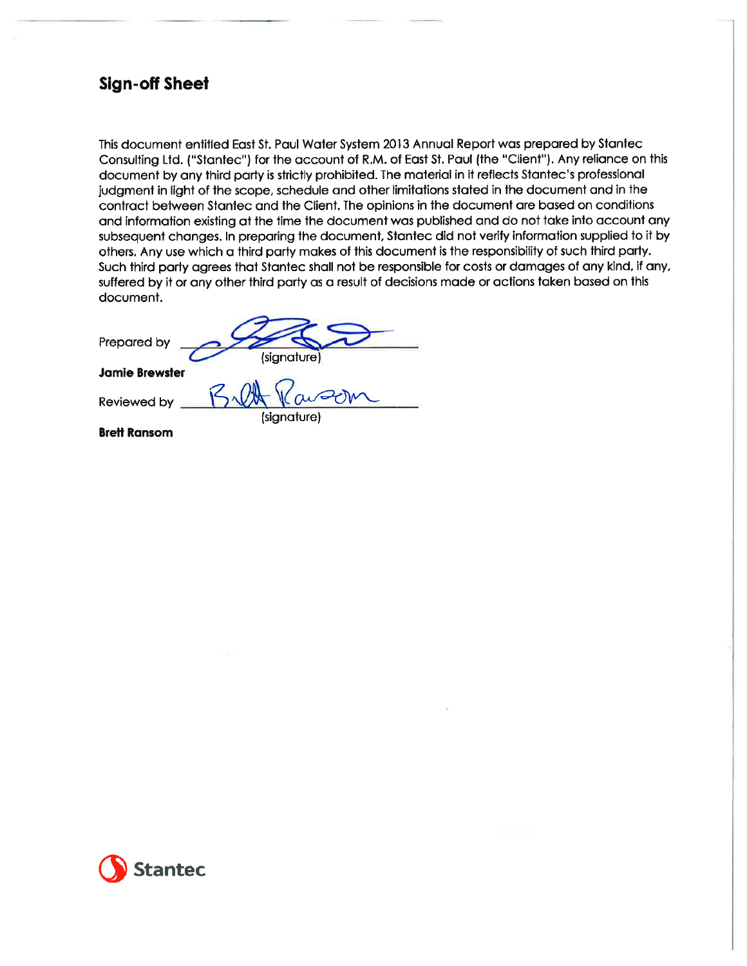## **Sign-off Sheet**

This document entitled East St. Paul Water System 2013 Annual Report was prepared by Stantec Consulting Ltd. ("Stantec") for the account of R.M. of East St. Paul (the "Client"). Any reliance on this document by any third party is strictly prohibited. The material in it reflects Stantec's professional judgment in light of the scope, schedule and other limitations stated in the document and in the contract between Stantec and the Client. The opinions in the document are based on conditions and information existing at the time the document was published and do not take into account any subsequent changes. In preparing the document, Stantec did not verify information supplied to it by others. Any use which a third party makes of this document is the responsibility of such third party. Such third party agrees that Stantec shall not be responsible for costs or damages of any kind, if any, suffered by it or any other third party as a result of decisions made or actions taken based on this document.

Prepared by (signature

(signature)

**Jamie Brewster** 

Reviewed by

**Brett Ransom** 

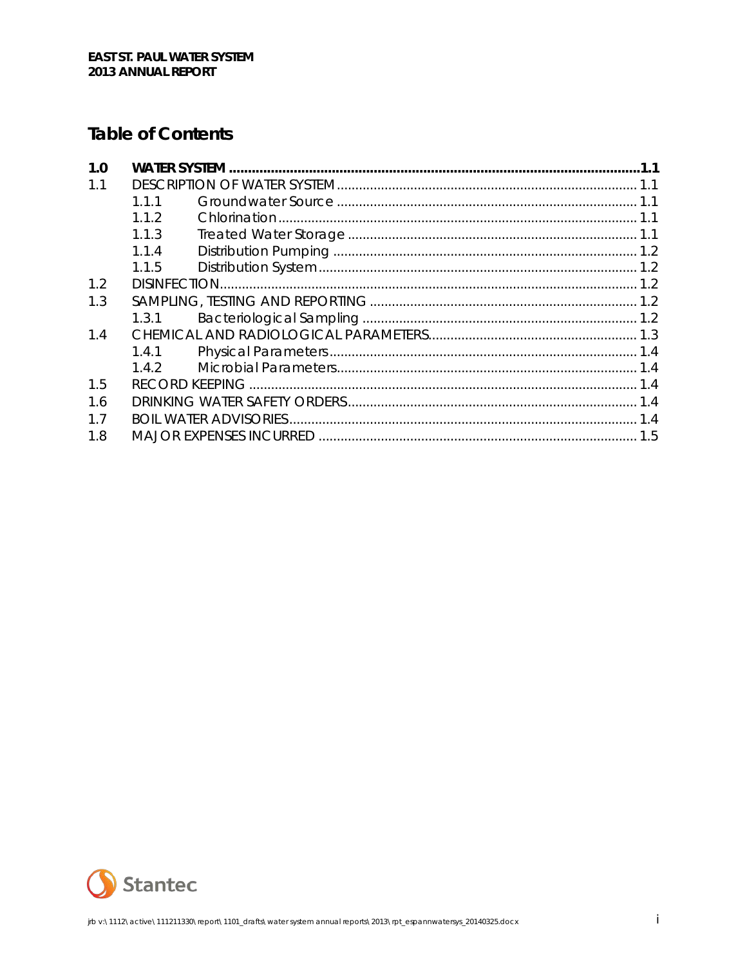## **Table of Contents**

| 1.0            |       |  |  |
|----------------|-------|--|--|
| 1.1            |       |  |  |
|                | 111   |  |  |
|                | 112   |  |  |
|                | 1.1.3 |  |  |
|                | 114   |  |  |
|                | 1.1.5 |  |  |
| 1.2            |       |  |  |
| 1.3            |       |  |  |
|                | 1.3.1 |  |  |
| 1.4            |       |  |  |
|                | 1.4.1 |  |  |
|                | 142   |  |  |
| 1.5            |       |  |  |
| 1.6            |       |  |  |
| 1 <sub>7</sub> |       |  |  |
| 1.8            |       |  |  |

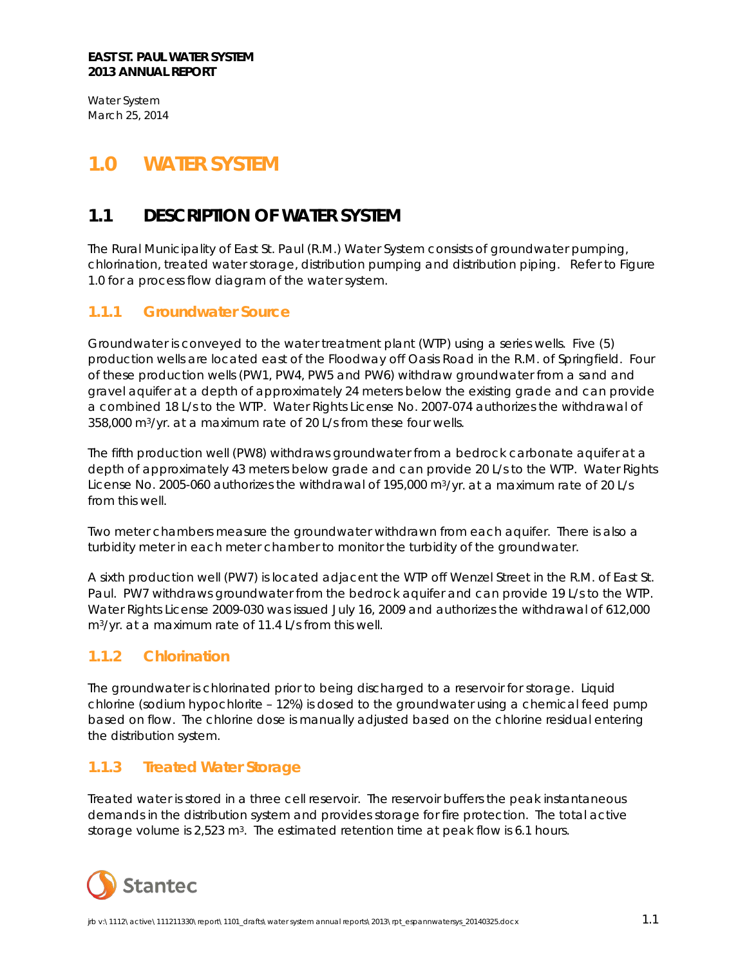Water System March 25, 2014

# <span id="page-3-0"></span>**1.0 WATER SYSTEM**

## <span id="page-3-1"></span>**1.1 DESCRIPTION OF WATER SYSTEM**

The Rural Municipality of East St. Paul (R.M.) Water System consists of groundwater pumping, chlorination, treated water storage, distribution pumping and distribution piping. Refer to Figure 1.0 for a process flow diagram of the water system.

### <span id="page-3-2"></span>**1.1.1 Groundwater Source**

Groundwater is conveyed to the water treatment plant (WTP) using a series wells. Five (5) production wells are located east of the Floodway off Oasis Road in the R.M. of Springfield. Four of these production wells (PW1, PW4, PW5 and PW6) withdraw groundwater from a sand and gravel aquifer at a depth of approximately 24 meters below the existing grade and can provide a combined 18 L/s to the WTP. Water Rights License No. 2007-074 authorizes the withdrawal of 358,000 m3/yr. at a maximum rate of 20 L/s from these four wells.

The fifth production well (PW8) withdraws groundwater from a bedrock carbonate aquifer at a depth of approximately 43 meters below grade and can provide 20 L/s to the WTP. Water Rights License No. 2005-060 authorizes the withdrawal of 195,000 m<sup>3</sup>/yr. at a maximum rate of 20 L/s from this well.

Two meter chambers measure the groundwater withdrawn from each aquifer. There is also a turbidity meter in each meter chamber to monitor the turbidity of the groundwater.

A sixth production well (PW7) is located adjacent the WTP off Wenzel Street in the R.M. of East St. Paul. PW7 withdraws groundwater from the bedrock aquifer and can provide 19 L/s to the WTP. Water Rights License 2009-030 was issued July 16, 2009 and authorizes the withdrawal of 612,000 m3/yr. at a maximum rate of 11.4 L/s from this well.

### <span id="page-3-3"></span>**1.1.2 Chlorination**

The groundwater is chlorinated prior to being discharged to a reservoir for storage. Liquid chlorine (sodium hypochlorite – 12%) is dosed to the groundwater using a chemical feed pump based on flow. The chlorine dose is manually adjusted based on the chlorine residual entering the distribution system.

### <span id="page-3-4"></span>**1.1.3 Treated Water Storage**

Treated water is stored in a three cell reservoir. The reservoir buffers the peak instantaneous demands in the distribution system and provides storage for fire protection. The total active storage volume is 2,523 m<sup>3</sup>. The estimated retention time at peak flow is 6.1 hours.

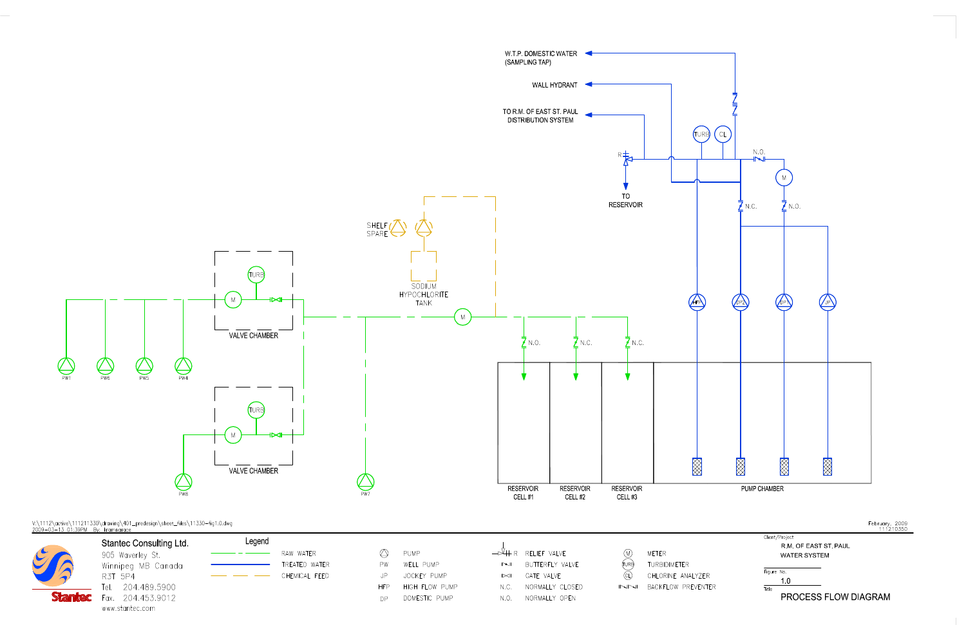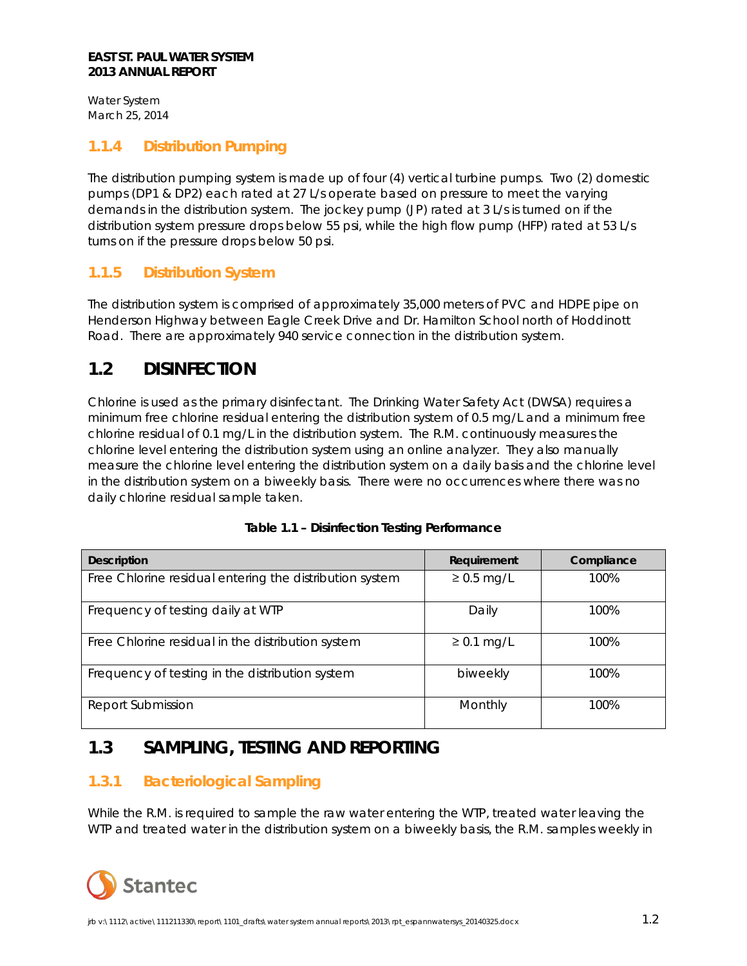#### **EAST ST. PAUL WATER SYSTEM 2013 ANNUAL REPORT**

Water System March 25, 2014

### <span id="page-5-0"></span>**1.1.4 Distribution Pumping**

The distribution pumping system is made up of four (4) vertical turbine pumps. Two (2) domestic pumps (DP1 & DP2) each rated at 27 L/s operate based on pressure to meet the varying demands in the distribution system. The jockey pump (JP) rated at 3 L/s is turned on if the distribution system pressure drops below 55 psi, while the high flow pump (HFP) rated at 53 L/s turns on if the pressure drops below 50 psi.

### <span id="page-5-1"></span>**1.1.5 Distribution System**

The distribution system is comprised of approximately 35,000 meters of PVC and HDPE pipe on Henderson Highway between Eagle Creek Drive and Dr. Hamilton School north of Hoddinott Road. There are approximately 940 service connection in the distribution system.

## <span id="page-5-2"></span>**1.2 DISINFECTION**

Chlorine is used as the primary disinfectant. The Drinking Water Safety Act (DWSA) requires a minimum free chlorine residual entering the distribution system of 0.5 mg/L and a minimum free chlorine residual of 0.1 mg/L in the distribution system. The R.M. continuously measures the chlorine level entering the distribution system using an online analyzer. They also manually measure the chlorine level entering the distribution system on a daily basis and the chlorine level in the distribution system on a biweekly basis. There were no occurrences where there was no daily chlorine residual sample taken.

| <b>Description</b>                                      | <b>Requirement</b> | Compliance |
|---------------------------------------------------------|--------------------|------------|
| Free Chlorine residual entering the distribution system | $\geq$ 0.5 mg/L    | 100%       |
| Frequency of testing daily at WTP                       | Daily              | 100%       |
| Free Chlorine residual in the distribution system       | $\geq$ 0.1 mg/L    | 100%       |
| Frequency of testing in the distribution system         | biweekly           | 100%       |
| Report Submission                                       | Monthly            | 100%       |

#### **Table 1.1 – Disinfection Testing Performance**

## <span id="page-5-3"></span>**1.3 SAMPLING, TESTING AND REPORTING**

### <span id="page-5-4"></span>**1.3.1 Bacteriological Sampling**

While the R.M. is required to sample the raw water entering the WTP, treated water leaving the WTP and treated water in the distribution system on a biweekly basis, the R.M. samples weekly in

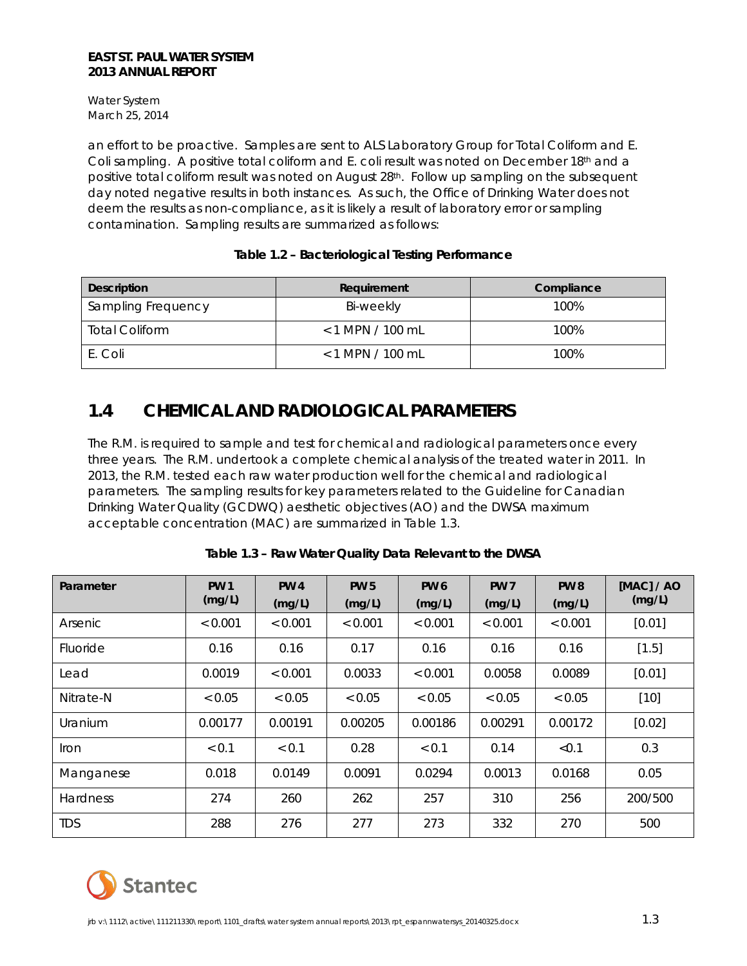#### **EAST ST. PAUL WATER SYSTEM 2013 ANNUAL REPORT**

Water System March 25, 2014

an effort to be proactive. Samples are sent to ALS Laboratory Group for Total Coliform and E. Coli sampling. A positive total coliform and E. coli result was noted on December 18th and a positive total coliform result was noted on August 28<sup>th</sup>. Follow up sampling on the subsequent day noted negative results in both instances. As such, the Office of Drinking Water does not deem the results as non-compliance, as it is likely a result of laboratory error or sampling contamination. Sampling results are summarized as follows:

#### **Table 1.2 – Bacteriological Testing Performance**

| Description           | Requirement        | Compliance |
|-----------------------|--------------------|------------|
| Sampling Frequency    | Bi-weekly          | 100%       |
| <b>Total Coliform</b> | $< 1$ MPN / 100 mL | 100%       |
| E. Coli               | $< 1$ MPN / 100 mL | 100%       |

## <span id="page-6-0"></span>**1.4 CHEMICAL AND RADIOLOGICAL PARAMETERS**

The R.M. is required to sample and test for chemical and radiological parameters once every three years. The R.M. undertook a complete chemical analysis of the treated water in 2011. In 2013, the R.M. tested each raw water production well for the chemical and radiological parameters. The sampling results for key parameters related to the Guideline for Canadian Drinking Water Quality (GCDWQ) aesthetic objectives (AO) and the DWSA maximum acceptable concentration (MAC) are summarized in Table 1.3.

| Parameter       | <b>PW 1</b><br>(mg/L) | <b>PW4</b><br>(mg/L) | <b>PW 5</b><br>(mg/L) | <b>PW6</b><br>(mg/L) | <b>PW 7</b><br>(mg/L) | <b>PW8</b><br>(mg/L) | [MAC] / AO<br>(mg/L) |
|-----------------|-----------------------|----------------------|-----------------------|----------------------|-----------------------|----------------------|----------------------|
| Arsenic         | < 0.001               | < 0.001              | < 0.001               | < 0.001              | < 0.001               | < 0.001              | [0.01]               |
| Fluoride        | 0.16                  | 0.16                 | 0.17                  | 0.16                 | 0.16                  | 0.16                 | [1.5]                |
| Lead            | 0.0019                | < 0.001              | 0.0033                | < 0.001              | 0.0058                | 0.0089               | [0.01]               |
| Nitrate-N       | < 0.05                | < 0.05               | < 0.05                | < 0.05               | < 0.05                | < 0.05               | $[10]$               |
| Uranium         | 0.00177               | 0.00191              | 0.00205               | 0.00186              | 0.00291               | 0.00172              | [0.02]               |
| <i>I</i> ron    | < 0.1                 | < 0.1                | 0.28                  | < 0.1                | 0.14                  | < 0.1                | 0.3                  |
| Manganese       | 0.018                 | 0.0149               | 0.0091                | 0.0294               | 0.0013                | 0.0168               | 0.05                 |
| <b>Hardness</b> | 274                   | 260                  | 262                   | 257                  | 310                   | 256                  | 200/500              |
| <b>TDS</b>      | 288                   | 276                  | 277                   | 273                  | 332                   | 270                  | 500                  |

#### **Table 1.3 – Raw Water Quality Data Relevant to the DWSA**

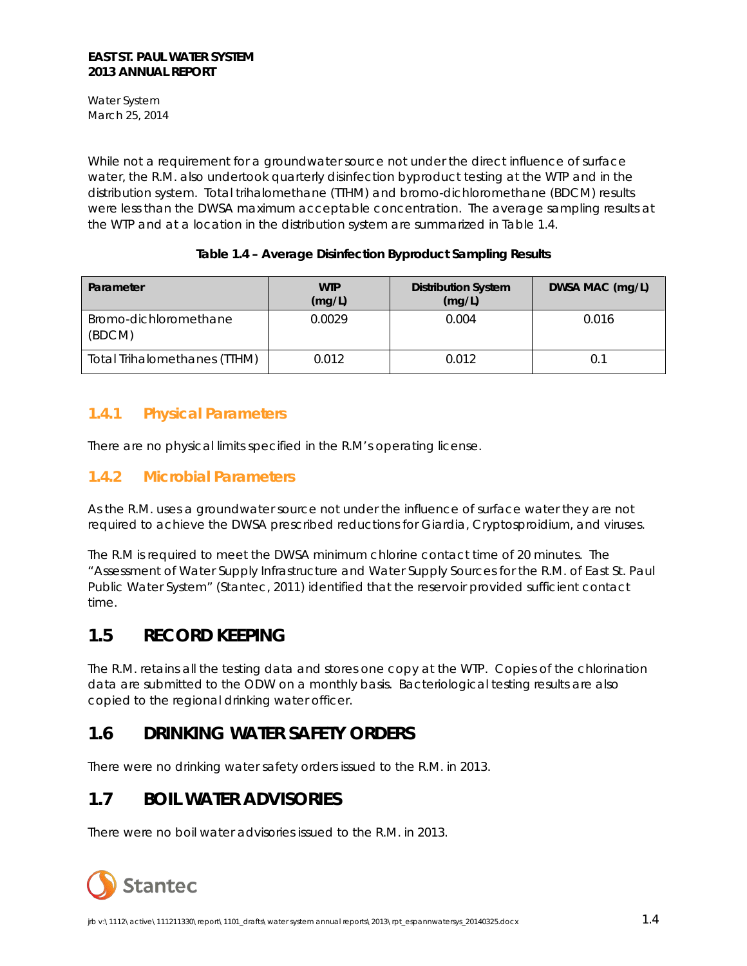Water System March 25, 2014

While not a requirement for a groundwater source not under the direct influence of surface water, the R.M. also undertook quarterly disinfection byproduct testing at the WTP and in the distribution system. Total trihalomethane (TTHM) and bromo-dichloromethane (BDCM) results were less than the DWSA maximum acceptable concentration. The average sampling results at the WTP and at a location in the distribution system are summarized in Table 1.4.

#### **Table 1.4 – Average Disinfection Byproduct Sampling Results**

| Parameter                       | <b>WTP</b><br>(mg/L) | <b>Distribution System</b><br>(mg/L) | DWSA MAC (mg/L) |
|---------------------------------|----------------------|--------------------------------------|-----------------|
| Bromo-dichloromethane<br>(BDCM) | 0.0029               | 0.004                                | 0.016           |
| Total Trihalomethanes (TTHM)    | 0.012                | 0.012                                | 0.1             |

### <span id="page-7-0"></span>**1.4.1 Physical Parameters**

There are no physical limits specified in the R.M's operating license.

### <span id="page-7-1"></span>**1.4.2 Microbial Parameters**

As the R.M. uses a groundwater source not under the influence of surface water they are not required to achieve the DWSA prescribed reductions for *Giardia*, *Cryptosproidium*, and viruses.

The R.M is required to meet the DWSA minimum chlorine contact time of 20 minutes. The "Assessment of Water Supply Infrastructure and Water Supply Sources for the R.M. of East St. Paul Public Water System" (Stantec, 2011) identified that the reservoir provided sufficient contact time.

## <span id="page-7-2"></span>**1.5 RECORD KEEPING**

The R.M. retains all the testing data and stores one copy at the WTP. Copies of the chlorination data are submitted to the ODW on a monthly basis. Bacteriological testing results are also copied to the regional drinking water officer.

## <span id="page-7-3"></span>**1.6 DRINKING WATER SAFETY ORDERS**

There were no drinking water safety orders issued to the R.M. in 2013.

## <span id="page-7-4"></span>**1.7 BOIL WATER ADVISORIES**

There were no boil water advisories issued to the R.M. in 2013.